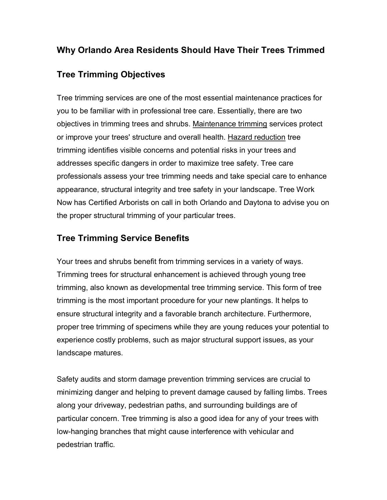## **Why Orlando Area Residents Should Have Their Trees Trimmed**

## **Tree Trimming Objectives**

Tree trimming services are one of the most essential maintenance practices for you to be familiar with in professional tree care. Essentially, there are two objectives in trimming trees and shrubs. Maintenance trimming services protect or improve your trees' structure and overall health. Hazard reduction tree trimming identifies visible concerns and potential risks in your trees and addresses specific dangers in order to maximize tree safety. Tree care professionals assess your tree trimming needs and take special care to enhance appearance, structural integrity and tree safety in your landscape. Tree Work Now has Certified Arborists on call in both Orlando and Daytona to advise you on the proper structural trimming of your particular trees.

## **Tree Trimming Service Benefits**

Your trees and shrubs benefit from trimming services in a variety of ways. Trimming trees for structural enhancement is achieved through young tree trimming, also known as developmental tree trimming service. This form of tree trimming is the most important procedure for your new plantings. It helps to ensure structural integrity and a favorable branch architecture. Furthermore, proper tree trimming of specimens while they are young reduces your potential to experience costly problems, such as major structural support issues, as your landscape matures.

Safety audits and storm damage prevention trimming services are crucial to minimizing danger and helping to prevent damage caused by falling limbs. Trees along your driveway, pedestrian paths, and surrounding buildings are of particular concern. Tree trimming is also a good idea for any of your trees with lowhanging branches that might cause interference with vehicular and pedestrian traffic.